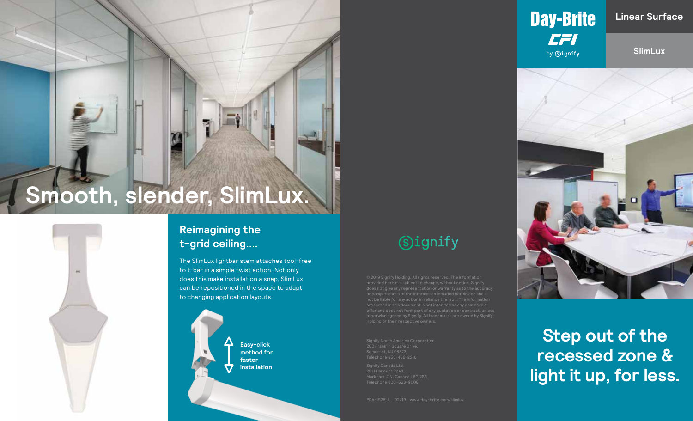# **Smooth, slender, SlimLux.**



The SlimLux lightbar stem attaches tool-free to t-bar in a simple twist action. Not only does this make installation a snap, SlimLux can be repositioned in the space to adapt to changing application layouts.



# **Signify**



**SlimLux**



**Step out of the recessed zone & light it up, for less.**